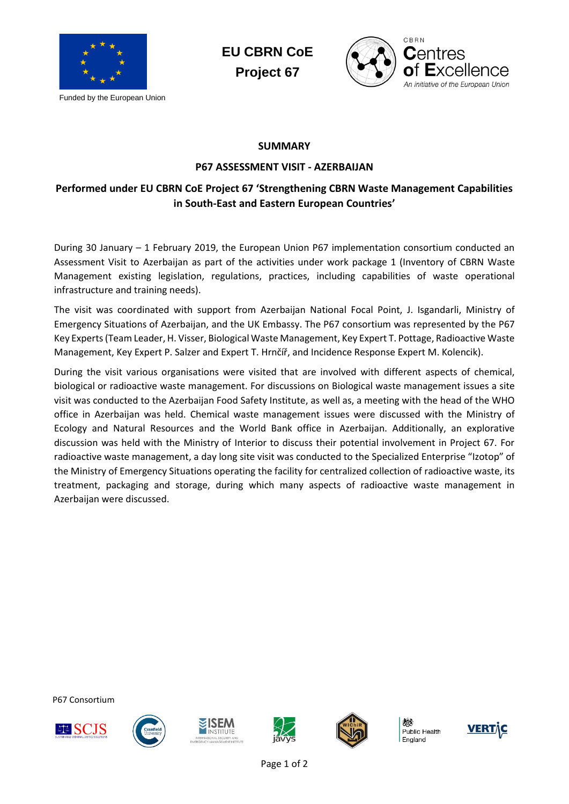

Funded by the European Union

**EU CBRN CoE Project 67**



## **SUMMARY**

## **P67 ASSESSMENT VISIT - AZERBAIJAN**

## **Performed under EU CBRN CoE Project 67 'Strengthening CBRN Waste Management Capabilities in South-East and Eastern European Countries'**

During 30 January – 1 February 2019, the European Union P67 implementation consortium conducted an Assessment Visit to Azerbaijan as part of the activities under work package 1 (Inventory of CBRN Waste Management existing legislation, regulations, practices, including capabilities of waste operational infrastructure and training needs).

The visit was coordinated with support from Azerbaijan National Focal Point, J. Isgandarli, Ministry of Emergency Situations of Azerbaijan, and the UK Embassy. The P67 consortium was represented by the P67 Key Experts (Team Leader, H. Visser, Biological Waste Management, Key Expert T. Pottage, Radioactive Waste Management, Key Expert P. Salzer and Expert T. Hrnčíř, and Incidence Response Expert M. Kolencik).

During the visit various organisations were visited that are involved with different aspects of chemical, biological or radioactive waste management. For discussions on Biological waste management issues a site visit was conducted to the Azerbaijan Food Safety Institute, as well as, a meeting with the head of the WHO office in Azerbaijan was held. Chemical waste management issues were discussed with the Ministry of Ecology and Natural Resources and the World Bank office in Azerbaijan. Additionally, an explorative discussion was held with the Ministry of Interior to discuss their potential involvement in Project 67. For radioactive waste management, a day long site visit was conducted to the Specialized Enterprise "Izotop" of the Ministry of Emergency Situations operating the facility for centralized collection of radioactive waste, its treatment, packaging and storage, during which many aspects of radioactive waste management in Azerbaijan were discussed.

P67 Consortium











Public Health England